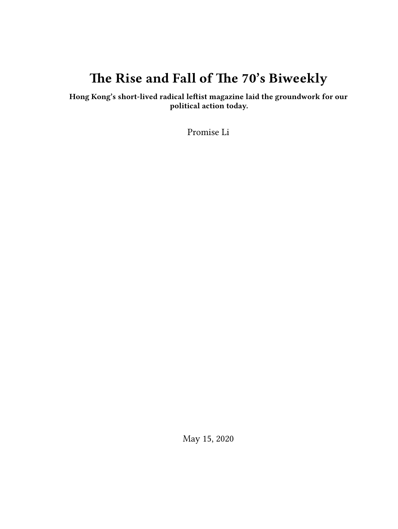# **The Rise and Fall of The 70's Biweekly**

**Hong Kong's short-lived radical leftist magazine laid the groundwork for our political action today.**

Promise Li

May 15, 2020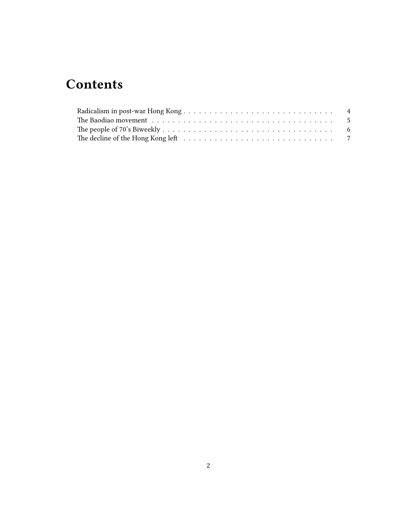# **Contents**

| The decline of the Hong Kong left $\dots \dots \dots \dots \dots \dots \dots \dots \dots \dots \dots \dots \dots \dots \dots$ |  |
|-------------------------------------------------------------------------------------------------------------------------------|--|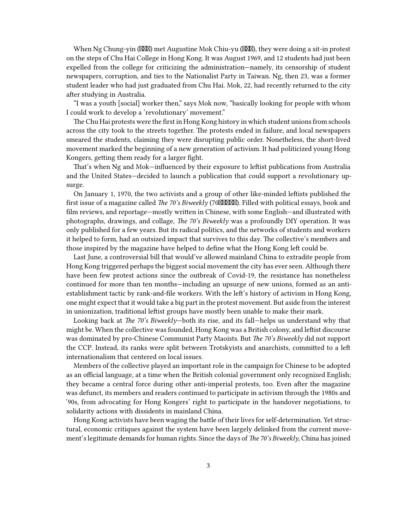When Ng Chung-yin ( $\mathbb{X}\mathbb{X}$ ) met Augustine Mok Chiu-yu ( $\mathbb{X}\mathbb{X}$ ), they were doing a sit-in protest on the steps of Chu Hai College in Hong Kong. It was August 1969, and 12 students had just been expelled from the college for criticizing the administration—namely, its censorship of student newspapers, corruption, and ties to the Nationalist Party in Taiwan. Ng, then 23, was a former student leader who had just graduated from Chu Hai. Mok, 22, had recently returned to the city after studying in Australia.

"I was a youth [social] worker then," says Mok now, "basically looking for people with whom I could work to develop a 'revolutionary' movement."

The Chu Hai protests were the first in Hong Kong history in which student unions from schools across the city took to the streets together. The protests ended in failure, and local newspapers smeared the students, claiming they were disrupting public order. Nonetheless, the short-lived movement marked the beginning of a new generation of activism. It had politicized young Hong Kongers, getting them ready for a larger fight.

That's when Ng and Mok—influenced by their exposure to leftist publications from Australia and the United States—decided to launch a publication that could support a revolutionary upsurge.

On January 1, 1970, the two activists and a group of other like-minded leftists published the first issue of a magazine called *The 70's Biweekly* (70 $\mathbb{X}\mathbb{X}\mathbb{X}\mathbb{X}$ ). Filled with political essays, book and film reviews, and reportage—mostly written in Chinese, with some English—and illustrated with photographs, drawings, and collage, *The 70's Biweekly* was a profoundly DIY operation. It was only published for a few years. But its radical politics, and the networks of students and workers it helped to form, had an outsized impact that survives to this day. The collective's members and those inspired by the magazine have helped to define what the Hong Kong left could be.

Last June, a controversial bill that would've allowed mainland China to extradite people from Hong Kong triggered perhaps the biggest social movement the city has ever seen. Although there have been few protest actions since the outbreak of Covid-19, the resistance has nonetheless continued for more than ten months—including an upsurge of new unions, formed as an antiestablishment tactic by rank-and-file workers. With the left's history of activism in Hong Kong, one might expect that it would take a big part in the protest movement. But aside from the interest in unionization, traditional leftist groups have mostly been unable to make their mark.

Looking back at *The 70's Biweekly*—both its rise, and its fall—helps us understand why that might be. When the collective was founded, Hong Kong was a British colony, and leftist discourse was dominated by pro-Chinese Communist Party Maoists. But *The 70's Biweekly* did not support the CCP. Instead, its ranks were split between Trotskyists and anarchists, committed to a left internationalism that centered on local issues.

Members of the collective played an important role in the campaign for Chinese to be adopted as an official language, at a time when the British colonial government only recognized English; they became a central force during other anti-imperial protests, too. Even after the magazine was defunct, its members and readers continued to participate in activism through the 1980s and '90s, from advocating for Hong Kongers' right to participate in the handover negotiations, to solidarity actions with dissidents in mainland China.

Hong Kong activists have been waging the battle of their lives for self-determination. Yet structural, economic critiques against the system have been largely delinked from the current movement's legitimate demands for human rights. Since the days of *The 70's Biweekly*, China has joined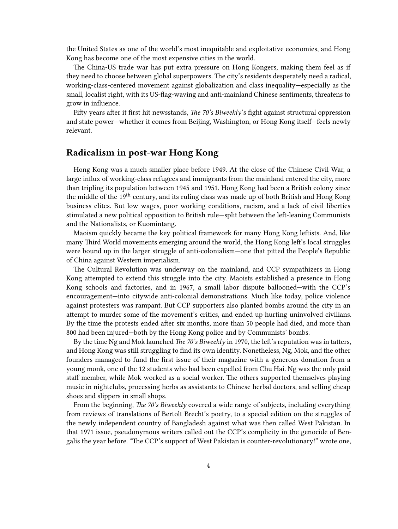the United States as one of the world's most inequitable and exploitative economies, and Hong Kong has become one of the most expensive cities in the world.

The China-US trade war has put extra pressure on Hong Kongers, making them feel as if they need to choose between global superpowers. The city's residents desperately need a radical, working-class-centered movement against globalization and class inequality—especially as the small, localist right, with its US-flag-waving and anti-mainland Chinese sentiments, threatens to grow in influence.

Fifty years after it first hit newsstands, *The 70's Biweekly*'s fight against structural oppression and state power—whether it comes from Beijing, Washington, or Hong Kong itself—feels newly relevant.

### <span id="page-3-0"></span>**Radicalism in post-war Hong Kong**

Hong Kong was a much smaller place before 1949. At the close of the Chinese Civil War, a large influx of working-class refugees and immigrants from the mainland entered the city, more than tripling its population between 1945 and 1951. Hong Kong had been a British colony since the middle of the 19th century, and its ruling class was made up of both British and Hong Kong business elites. But low wages, poor working conditions, racism, and a lack of civil liberties stimulated a new political opposition to British rule—split between the left-leaning Communists and the Nationalists, or Kuomintang.

Maoism quickly became the key political framework for many Hong Kong leftists. And, like many Third World movements emerging around the world, the Hong Kong left's local struggles were bound up in the larger struggle of anti-colonialism—one that pitted the People's Republic of China against Western imperialism.

The Cultural Revolution was underway on the mainland, and CCP sympathizers in Hong Kong attempted to extend this struggle into the city. Maoists established a presence in Hong Kong schools and factories, and in 1967, a small labor dispute ballooned—with the CCP's encouragement—into citywide anti-colonial demonstrations. Much like today, police violence against protesters was rampant. But CCP supporters also planted bombs around the city in an attempt to murder some of the movement's critics, and ended up hurting uninvolved civilians. By the time the protests ended after six months, more than 50 people had died, and more than 800 had been injured—both by the Hong Kong police and by Communists' bombs.

By the time Ng and Mok launched *The 70's Biweekly* in 1970, the left's reputation was in tatters, and Hong Kong was still struggling to find its own identity. Nonetheless, Ng, Mok, and the other founders managed to fund the first issue of their magazine with a generous donation from a young monk, one of the 12 students who had been expelled from Chu Hai. Ng was the only paid staff member, while Mok worked as a social worker. The others supported themselves playing music in nightclubs, processing herbs as assistants to Chinese herbal doctors, and selling cheap shoes and slippers in small shops.

From the beginning, *The 70's Biweekly* covered a wide range of subjects, including everything from reviews of translations of Bertolt Brecht's poetry, to a special edition on the struggles of the newly independent country of Bangladesh against what was then called West Pakistan. In that 1971 issue, pseudonymous writers called out the CCP's complicity in the genocide of Bengalis the year before. "The CCP's support of West Pakistan is counter-revolutionary!" wrote one,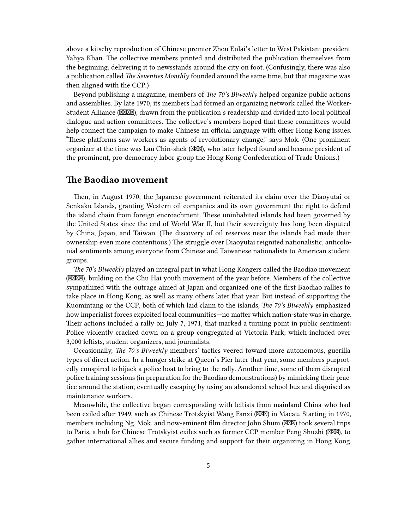above a kitschy reproduction of Chinese premier Zhou Enlai's letter to West Pakistani president Yahya Khan. The collective members printed and distributed the publication themselves from the beginning, delivering it to newsstands around the city on foot. (Confusingly, there was also a publication called *The Seventies Monthly* founded around the same time, but that magazine was then aligned with the CCP.)

Beyond publishing a magazine, members of *The 70's Biweekly* helped organize public actions and assemblies. By late 1970, its members had formed an organizing network called the Worker-Student Alliance (XXXX), drawn from the publication's readership and divided into local political dialogue and action committees. The collective's members hoped that these committees would help connect the campaign to make Chinese an official language with other Hong Kong issues. "These platforms saw workers as agents of revolutionary change," says Mok. (One prominent organizer at the time was Lau Chin-shek (XXX), who later helped found and became president of the prominent, pro-democracy labor group the Hong Kong Confederation of Trade Unions.)

#### <span id="page-4-0"></span>**The Baodiao movement**

Then, in August 1970, the Japanese government reiterated its claim over the Diaoyutai or Senkaku Islands, granting Western oil companies and its own government the right to defend the island chain from foreign encroachment. These uninhabited islands had been governed by the United States since the end of World War II, but their sovereignty has long been disputed by China, Japan, and Taiwan. (The discovery of oil reserves near the islands had made their ownership even more contentious.) The struggle over Diaoyutai reignited nationalistic, anticolonial sentiments among everyone from Chinese and Taiwanese nationalists to American student groups.

*The 70's Biweekly* played an integral part in what Hong Kongers called the Baodiao movement (XXXX), building on the Chu Hai youth movement of the year before. Members of the collective sympathized with the outrage aimed at Japan and organized one of the first Baodiao rallies to take place in Hong Kong, as well as many others later that year. But instead of supporting the Kuomintang or the CCP, both of which laid claim to the islands, *The 70's Biweekly* emphasized how imperialist forces exploited local communities—no matter which nation-state was in charge. Their actions included a rally on July 7, 1971, that marked a turning point in public sentiment: Police violently cracked down on a group congregated at Victoria Park, which included over 3,000 leftists, student organizers, and journalists.

Occasionally, *The 70's Biweekly* members' tactics veered toward more autonomous, guerilla types of direct action. In a hunger strike at Queen's Pier later that year, some members purportedly conspired to hijack a police boat to bring to the rally. Another time, some of them disrupted police training sessions (in preparation for the Baodiao demonstrations) by mimicking their practice around the station, eventually escaping by using an abandoned school bus and disguised as maintenance workers.

Meanwhile, the collective began corresponding with leftists from mainland China who had been exiled after 1949, such as Chinese Trotskyist Wang Fanxi ( $\boxtimes$ IIII) in Macau. Starting in 1970, members including Ng, Mok, and now-eminent film director John Shum (XXX) took several trips to Paris, a hub for Chinese Trotskyist exiles such as former CCP member Peng Shuzhi ( $\boxtimes \boxtimes$ ), to gather international allies and secure funding and support for their organizing in Hong Kong.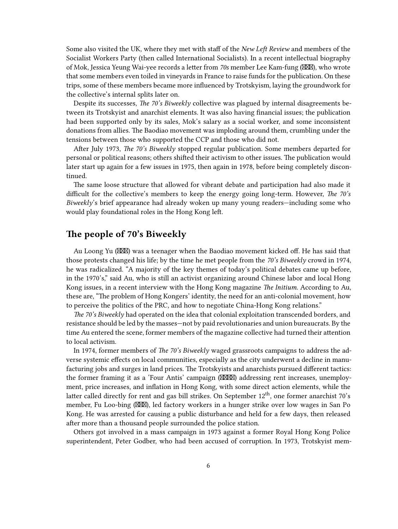Some also visited the UK, where they met with staff of the *New Left Review* and members of the Socialist Workers Party (then called International Socialists). In a recent intellectual biography of Mok, Jessica Yeung Wai-yee records a letter from 70s member Lee Kam-fung (XXX), who wrote that some members even toiled in vineyards in France to raise funds for the publication. On these trips, some of these members became more influenced by Trotskyism, laying the groundwork for the collective's internal splits later on.

Despite its successes, *The 70's Biweekly* collective was plagued by internal disagreements between its Trotskyist and anarchist elements. It was also having financial issues; the publication had been supported only by its sales, Mok's salary as a social worker, and some inconsistent donations from allies. The Baodiao movement was imploding around them, crumbling under the tensions between those who supported the CCP and those who did not.

After July 1973, *The 70's Biweekly* stopped regular publication. Some members departed for personal or political reasons; others shifted their activism to other issues. The publication would later start up again for a few issues in 1975, then again in 1978, before being completely discontinued.

The same loose structure that allowed for vibrant debate and participation had also made it difficult for the collective's members to keep the energy going long-term. However, *The 70's Biweekly*'s brief appearance had already woken up many young readers—including some who would play foundational roles in the Hong Kong left.

### <span id="page-5-0"></span>**The people of 70's Biweekly**

Au Loong Yu (XXX) was a teenager when the Baodiao movement kicked off. He has said that those protests changed his life; by the time he met people from the *70's Biweekly* crowd in 1974, he was radicalized. "A majority of the key themes of today's political debates came up before, in the 1970's," said Au, who is still an activist organizing around Chinese labor and local Hong Kong issues, in a recent interview with the Hong Kong magazine *The Initium*. According to Au, these are, "The problem of Hong Kongers' identity, the need for an anti-colonial movement, how to perceive the politics of the PRC, and how to negotiate China-Hong Kong relations."

*The 70's Biweekly* had operated on the idea that colonial exploitation transcended borders, and resistance should be led by the masses—not by paid revolutionaries and union bureaucrats. By the time Au entered the scene, former members of the magazine collective had turned their attention to local activism.

In 1974, former members of *The 70's Biweekly* waged grassroots campaigns to address the adverse systemic effects on local communities, especially as the city underwent a decline in manufacturing jobs and surges in land prices. The Trotskyists and anarchists pursued different tactics: the former framing it as a 'Four Antis' campaign ( $\boxtimes \boxtimes$ ) addressing rent increases, unemployment, price increases, and inflation in Hong Kong, with some direct action elements, while the latter called directly for rent and gas bill strikes. On September  $12<sup>th</sup>$ , one former anarchist 70's member, Fu Loo-bing (XXX), led factory workers in a hunger strike over low wages in San Po Kong. He was arrested for causing a public disturbance and held for a few days, then released after more than a thousand people surrounded the police station.

Others got involved in a mass campaign in 1973 against a former Royal Hong Kong Police superintendent, Peter Godber, who had been accused of corruption. In 1973, Trotskyist mem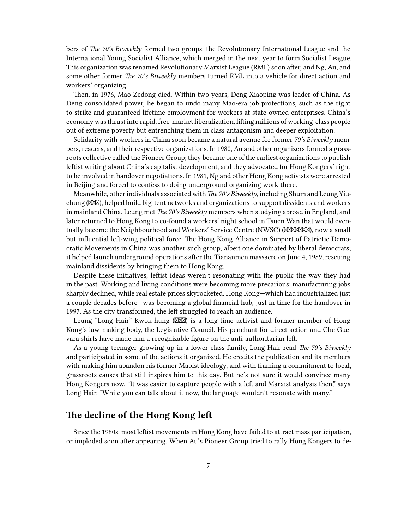bers of *The 70's Biweekly* formed two groups, the Revolutionary International League and the International Young Socialist Alliance, which merged in the next year to form Socialist League. This organization was renamed Revolutionary Marxist League (RML) soon after, and Ng, Au, and some other former *The 70's Biweekly* members turned RML into a vehicle for direct action and workers' organizing.

Then, in 1976, Mao Zedong died. Within two years, Deng Xiaoping was leader of China. As Deng consolidated power, he began to undo many Mao-era job protections, such as the right to strike and guaranteed lifetime employment for workers at state-owned enterprises. China's economy was thrust into rapid, free-market liberalization, lifting millions of working-class people out of extreme poverty but entrenching them in class antagonism and deeper exploitation.

Solidarity with workers in China soon became a natural avenue for former *70's Biweekly* members, readers, and their respective organizations. In 1980, Au and other organizers formed a grassroots collective called the Pioneer Group; they became one of the earliest organizations to publish leftist writing about China's capitalist development, and they advocated for Hong Kongers' right to be involved in handover negotiations. In 1981, Ng and other Hong Kong activists were arrested in Beijing and forced to confess to doing underground organizing work there.

Meanwhile, other individuals associated with *The 70's Biweekly*, including Shum and Leung Yiuchung ( $\mathbb{X}\mathbb{X}$ ), helped build big-tent networks and organizations to support dissidents and workers in mainland China. Leung met *The 70's Biweekly* members when studying abroad in England, and later returned to Hong Kong to co-found a workers' night school in Tsuen Wan that would eventually become the Neighbourhood and Workers' Service Centre (NWSC) (XXXXXXX), now a small but influential left-wing political force. The Hong Kong Alliance in Support of Patriotic Democratic Movements in China was another such group, albeit one dominated by liberal democrats; it helped launch underground operations after the Tiananmen massacre on June 4, 1989, rescuing mainland dissidents by bringing them to Hong Kong.

Despite these initiatives, leftist ideas weren't resonating with the public the way they had in the past. Working and living conditions were becoming more precarious; manufacturing jobs sharply declined, while real estate prices skyrocketed. Hong Kong—which had industrialized just a couple decades before—was becoming a global financial hub, just in time for the handover in 1997. As the city transformed, the left struggled to reach an audience.

Leung "Long Hair" Kwok-hung ( $\boxtimes \boxtimes$ ) is a long-time activist and former member of Hong Kong's law-making body, the Legislative Council. His penchant for direct action and Che Guevara shirts have made him a recognizable figure on the anti-authoritarian left.

As a young teenager growing up in a lower-class family, Long Hair read *The 70's Biweekly* and participated in some of the actions it organized. He credits the publication and its members with making him abandon his former Maoist ideology, and with framing a commitment to local, grassroots causes that still inspires him to this day. But he's not sure it would convince many Hong Kongers now. "It was easier to capture people with a left and Marxist analysis then," says Long Hair. "While you can talk about it now, the language wouldn't resonate with many."

## <span id="page-6-0"></span>**The decline of the Hong Kong left**

Since the 1980s, most leftist movements in Hong Kong have failed to attract mass participation, or imploded soon after appearing. When Au's Pioneer Group tried to rally Hong Kongers to de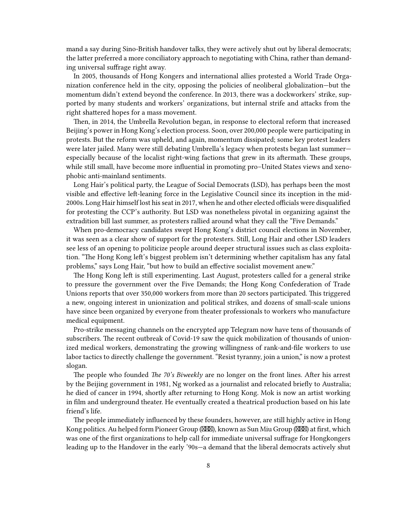mand a say during Sino-British handover talks, they were actively shut out by liberal democrats; the latter preferred a more conciliatory approach to negotiating with China, rather than demanding universal suffrage right away.

In 2005, thousands of Hong Kongers and international allies protested a World Trade Organization conference held in the city, opposing the policies of neoliberal globalization—but the momentum didn't extend beyond the conference. In 2013, there was a dockworkers' strike, supported by many students and workers' organizations, but internal strife and attacks from the right shattered hopes for a mass movement.

Then, in 2014, the Umbrella Revolution began, in response to electoral reform that increased Beijing's power in Hong Kong's election process. Soon, over 200,000 people were participating in protests. But the reform was upheld, and again, momentum dissipated; some key protest leaders were later jailed. Many were still debating Umbrella's legacy when protests began last summer especially because of the localist right-wing factions that grew in its aftermath. These groups, while still small, have become more influential in promoting pro–United States views and xenophobic anti-mainland sentiments.

Long Hair's political party, the League of Social Democrats (LSD), has perhaps been the most visible and effective left-leaning force in the Legislative Council since its inception in the mid-2000s. Long Hair himself lost his seat in 2017, when he and other elected officials were disqualified for protesting the CCP's authority. But LSD was nonetheless pivotal in organizing against the extradition bill last summer, as protesters rallied around what they call the "Five Demands."

When pro-democracy candidates swept Hong Kong's district council elections in November, it was seen as a clear show of support for the protesters. Still, Long Hair and other LSD leaders see less of an opening to politicize people around deeper structural issues such as class exploitation. "The Hong Kong left's biggest problem isn't determining whether capitalism has any fatal problems," says Long Hair, "but how to build an effective socialist movement anew."

The Hong Kong left is still experimenting. Last August, protesters called for a general strike to pressure the government over the Five Demands; the Hong Kong Confederation of Trade Unions reports that over 350,000 workers from more than 20 sectors participated. This triggered a new, ongoing interest in unionization and political strikes, and dozens of small-scale unions have since been organized by everyone from theater professionals to workers who manufacture medical equipment.

Pro-strike messaging channels on the encrypted app Telegram now have tens of thousands of subscribers. The recent outbreak of Covid-19 saw the quick mobilization of thousands of unionized medical workers, demonstrating the growing willingness of rank-and-file workers to use labor tactics to directly challenge the government. "Resist tyranny, join a union," is now a protest slogan.

The people who founded *The 70's Biweekly* are no longer on the front lines. After his arrest by the Beijing government in 1981, Ng worked as a journalist and relocated briefly to Australia; he died of cancer in 1994, shortly after returning to Hong Kong. Mok is now an artist working in film and underground theater. He eventually created a theatrical production based on his late friend's life.

The people immediately influenced by these founders, however, are still highly active in Hong Kong politics. Au helped form Pioneer Group ( $\boxtimes \boxtimes$ ), known as Sun Miu Group ( $\boxtimes \boxtimes$ ) at first, which was one of the first organizations to help call for immediate universal suffrage for Hongkongers leading up to the Handover in the early '90s—a demand that the liberal democrats actively shut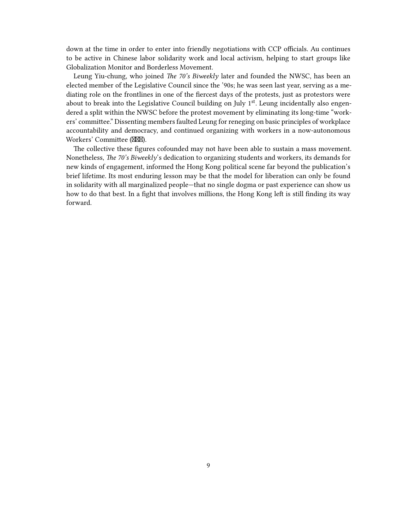down at the time in order to enter into friendly negotiations with CCP officials. Au continues to be active in Chinese labor solidarity work and local activism, helping to start groups like Globalization Monitor and Borderless Movement.

Leung Yiu-chung, who joined *The 70's Biweekly* later and founded the NWSC, has been an elected member of the Legislative Council since the '90s; he was seen last year, serving as a mediating role on the frontlines in one of the fiercest days of the protests, just as protestors were about to break into the Legislative Council building on July  $1<sup>st</sup>$ . Leung incidentally also engendered a split within the NWSC before the protest movement by eliminating its long-time "workers' committee." Dissenting members faulted Leung for reneging on basic principles of workplace accountability and democracy, and continued organizing with workers in a now-autonomous Workers' Committee (XXX).

The collective these figures cofounded may not have been able to sustain a mass movement. Nonetheless, *The 70's Biweekly*'s dedication to organizing students and workers, its demands for new kinds of engagement, informed the Hong Kong political scene far beyond the publication's brief lifetime. Its most enduring lesson may be that the model for liberation can only be found in solidarity with all marginalized people—that no single dogma or past experience can show us how to do that best. In a fight that involves millions, the Hong Kong left is still finding its way forward.